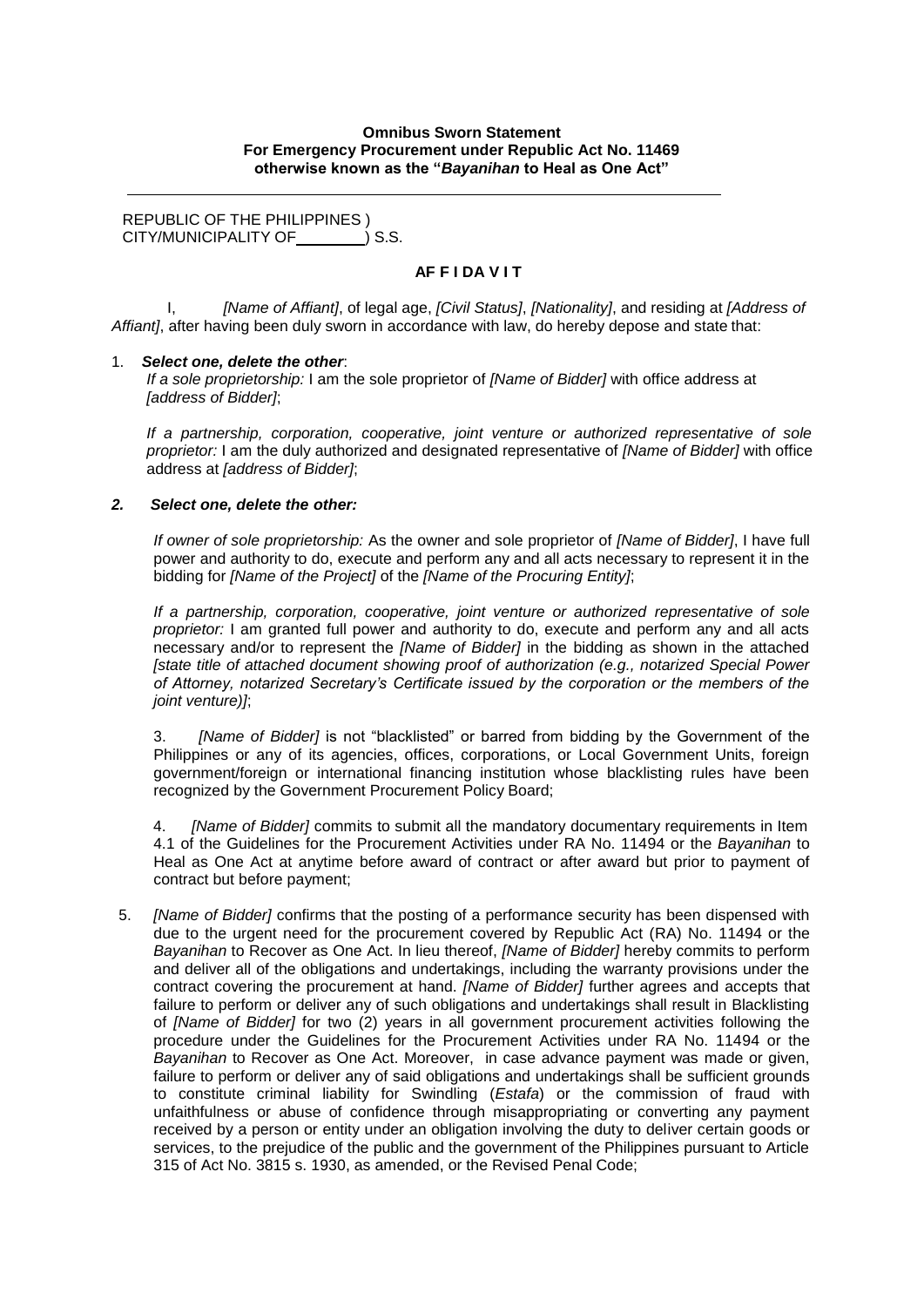### **Omnibus Sworn Statement For Emergency Procurement under Republic Act No. 11469 otherwise known as the "***Bayanihan* **to Heal as One Act"**

REPUBLIC OF THE PHILIPPINES ) CITY/MUNICIPALITY OF  $\qquad$  ) S.S.

## **AF F I DA V I T**

I, *[Name of Affiant]*, of legal age, *[Civil Status]*, *[Nationality]*, and residing at *[Address of Affiant]*, after having been duly sworn in accordance with law, do hereby depose and state that:

#### 1. *Select one, delete the other*:

*If a sole proprietorship:* I am the sole proprietor of *[Name of Bidder]* with office address at *[address of Bidder]*;

*If a partnership, corporation, cooperative, joint venture or authorized representative of sole proprietor:* I am the duly authorized and designated representative of *[Name of Bidder]* with office address at *[address of Bidder]*;

#### *2. Select one, delete the other:*

*If owner of sole proprietorship:* As the owner and sole proprietor of *[Name of Bidder]*, I have full power and authority to do, execute and perform any and all acts necessary to represent it in the bidding for *[Name of the Project]* of the *[Name of the Procuring Entity]*;

*If a partnership, corporation, cooperative, joint venture or authorized representative of sole proprietor:* I am granted full power and authority to do, execute and perform any and all acts necessary and/or to represent the *[Name of Bidder]* in the bidding as shown in the attached *[state title of attached document showing proof of authorization (e.g., notarized Special Power of Attorney, notarized Secretary's Certificate issued by the corporation or the members of the joint venture)]*;

3. *[Name of Bidder]* is not "blacklisted" or barred from bidding by the Government of the Philippines or any of its agencies, offices, corporations, or Local Government Units, foreign government/foreign or international financing institution whose blacklisting rules have been recognized by the Government Procurement Policy Board;

4. *[Name of Bidder]* commits to submit all the mandatory documentary requirements in Item 4.1 of the Guidelines for the Procurement Activities under RA No. 11494 or the *Bayanihan* to Heal as One Act at anytime before award of contract or after award but prior to payment of contract but before payment;

5. *[Name of Bidder]* confirms that the posting of a performance security has been dispensed with due to the urgent need for the procurement covered by Republic Act (RA) No. 11494 or the *Bayanihan* to Recover as One Act. In lieu thereof, *[Name of Bidder]* hereby commits to perform and deliver all of the obligations and undertakings, including the warranty provisions under the contract covering the procurement at hand. *[Name of Bidder]* further agrees and accepts that failure to perform or deliver any of such obligations and undertakings shall result in Blacklisting of *[Name of Bidder]* for two (2) years in all government procurement activities following the procedure under the Guidelines for the Procurement Activities under RA No. 11494 or the *Bayanihan* to Recover as One Act. Moreover, in case advance payment was made or given, failure to perform or deliver any of said obligations and undertakings shall be sufficient grounds to constitute criminal liability for Swindling (*Estafa*) or the commission of fraud with unfaithfulness or abuse of confidence through misappropriating or converting any payment received by a person or entity under an obligation involving the duty to deliver certain goods or services, to the prejudice of the public and the government of the Philippines pursuant to Article 315 of Act No. 3815 s. 1930, as amended, or the Revised Penal Code;